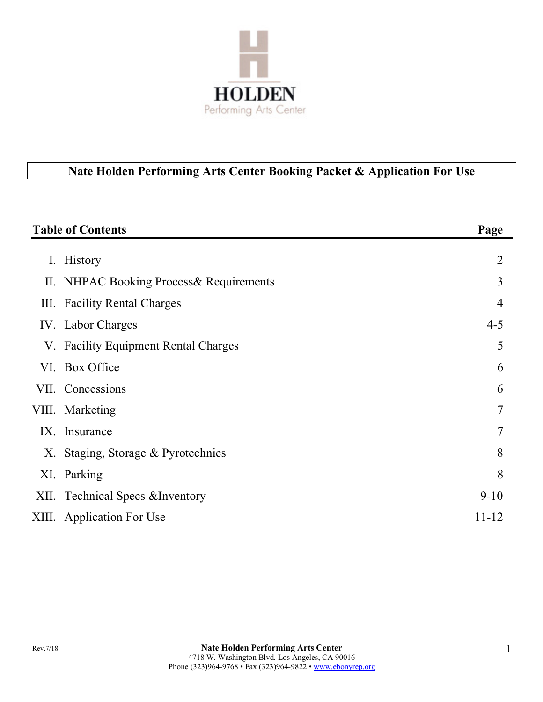

# **Nate Holden Performing Arts Center Booking Packet & Application For Use**

|                | <b>Table of Contents</b>                 | Page           |
|----------------|------------------------------------------|----------------|
| $\mathbf{I}$ . | History                                  | $\overline{2}$ |
|                | II. NHPAC Booking Process & Requirements | 3              |
|                | III. Facility Rental Charges             | 4              |
|                | IV. Labor Charges                        | $4 - 5$        |
|                | V. Facility Equipment Rental Charges     | 5              |
|                | VI. Box Office                           | 6              |
|                | VII. Concessions                         | 6              |
|                | VIII. Marketing                          | 7              |
|                | IX. Insurance                            | 7              |
|                | X. Staging, Storage & Pyrotechnics       | 8              |
|                | XI. Parking                              | 8              |
|                | XII. Technical Specs & Inventory         | $9 - 10$       |
|                | XIII. Application For Use                | 11-12          |
|                |                                          |                |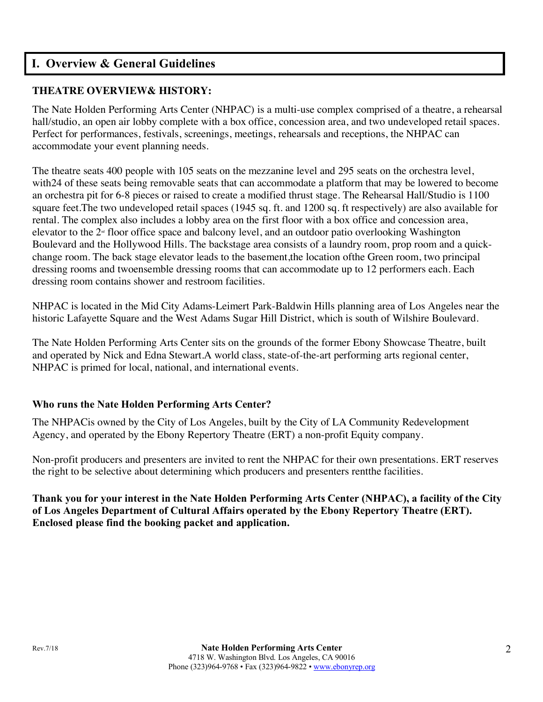### **I. Overview & General Guidelines**

#### **THEATRE OVERVIEW& HISTORY:**

The Nate Holden Performing Arts Center (NHPAC) is a multi-use complex comprised of a theatre, a rehearsal hall/studio, an open air lobby complete with a box office, concession area, and two undeveloped retail spaces. Perfect for performances, festivals, screenings, meetings, rehearsals and receptions, the NHPAC can accommodate your event planning needs.

The theatre seats 400 people with 105 seats on the mezzanine level and 295 seats on the orchestra level, with24 of these seats being removable seats that can accommodate a platform that may be lowered to become an orchestra pit for 6-8 pieces or raised to create a modified thrust stage. The Rehearsal Hall/Studio is 1100 square feet.The two undeveloped retail spaces (1945 sq. ft. and 1200 sq. ft respectively) are also available for rental. The complex also includes a lobby area on the first floor with a box office and concession area, elevator to the  $2<sup>\omega</sup>$  floor office space and balcony level, and an outdoor patio overlooking Washington Boulevard and the Hollywood Hills. The backstage area consists of a laundry room, prop room and a quickchange room. The back stage elevator leads to the basement,the location ofthe Green room, two principal dressing rooms and twoensemble dressing rooms that can accommodate up to 12 performers each. Each dressing room contains shower and restroom facilities.

NHPAC is located in the Mid City Adams-Leimert Park-Baldwin Hills planning area of Los Angeles near the historic Lafayette Square and the West Adams Sugar Hill District, which is south of Wilshire Boulevard.

The Nate Holden Performing Arts Center sits on the grounds of the former Ebony Showcase Theatre, built and operated by Nick and Edna Stewart.A world class, state-of-the-art performing arts regional center, NHPAC is primed for local, national, and international events.

#### **Who runs the Nate Holden Performing Arts Center?**

The NHPACis owned by the City of Los Angeles, built by the City of LA Community Redevelopment Agency, and operated by the Ebony Repertory Theatre (ERT) a non-profit Equity company.

Non-profit producers and presenters are invited to rent the NHPAC for their own presentations. ERT reserves the right to be selective about determining which producers and presenters rentthe facilities.

**Thank you for your interest in the Nate Holden Performing Arts Center (NHPAC), a facility of the City of Los Angeles Department of Cultural Affairs operated by the Ebony Repertory Theatre (ERT). Enclosed please find the booking packet and application.**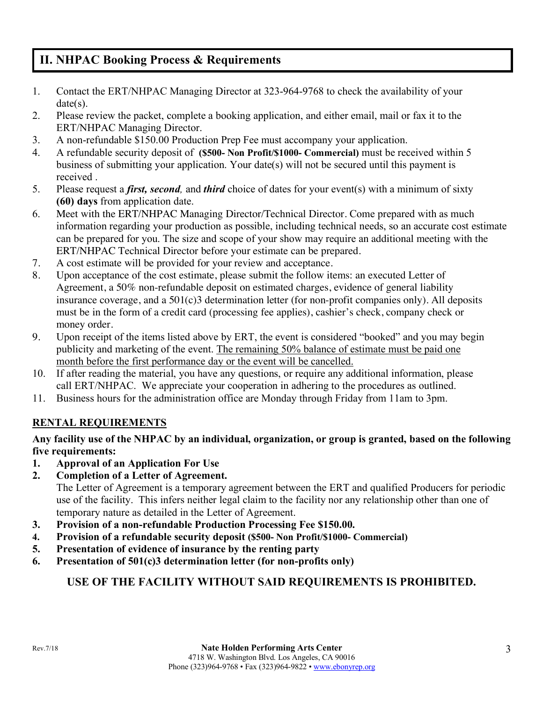# **II. NHPAC Booking Process & Requirements**

- 1. Contact the ERT/NHPAC Managing Director at 323-964-9768 to check the availability of your date(s).
- 2. Please review the packet, complete a booking application, and either email, mail or fax it to the ERT/NHPAC Managing Director.
- 3. A non-refundable \$150.00 Production Prep Fee must accompany your application.
- 4. A refundable security deposit of **(\$500- Non Profit/\$1000- Commercial)** must be received within 5 business of submitting your application. Your date(s) will not be secured until this payment is received .
- 5. Please request a *first, second,* and *third* choice of dates for your event(s) with a minimum of sixty **(60) days** from application date.
- 6. Meet with the ERT/NHPAC Managing Director/Technical Director. Come prepared with as much information regarding your production as possible, including technical needs, so an accurate cost estimate can be prepared for you. The size and scope of your show may require an additional meeting with the ERT/NHPAC Technical Director before your estimate can be prepared.
- 7. A cost estimate will be provided for your review and acceptance.
- 8. Upon acceptance of the cost estimate, please submit the follow items: an executed Letter of Agreement, a 50% non-refundable deposit on estimated charges, evidence of general liability insurance coverage, and a 501(c)3 determination letter (for non-profit companies only). All deposits must be in the form of a credit card (processing fee applies), cashier's check, company check or money order.
- 9. Upon receipt of the items listed above by ERT, the event is considered "booked" and you may begin publicity and marketing of the event. The remaining 50% balance of estimate must be paid one month before the first performance day or the event will be cancelled.
- 10. If after reading the material, you have any questions, or require any additional information, please call ERT/NHPAC. We appreciate your cooperation in adhering to the procedures as outlined.
- 11. Business hours for the administration office are Monday through Friday from 11am to 3pm.

### **RENTAL REQUIREMENTS**

#### **Any facility use of the NHPAC by an individual, organization, or group is granted, based on the following five requirements:**

- **1. Approval of an Application For Use**
- **2. Completion of a Letter of Agreement.**

The Letter of Agreement is a temporary agreement between the ERT and qualified Producers for periodic use of the facility. This infers neither legal claim to the facility nor any relationship other than one of temporary nature as detailed in the Letter of Agreement.

- **3. Provision of a non-refundable Production Processing Fee \$150.00.**
- **4. Provision of a refundable security deposit (\$500- Non Profit/\$1000- Commercial)**
- **5. Presentation of evidence of insurance by the renting party**
- **6. Presentation of 501(c)3 determination letter (for non-profits only)**

### **USE OF THE FACILITY WITHOUT SAID REQUIREMENTS IS PROHIBITED.**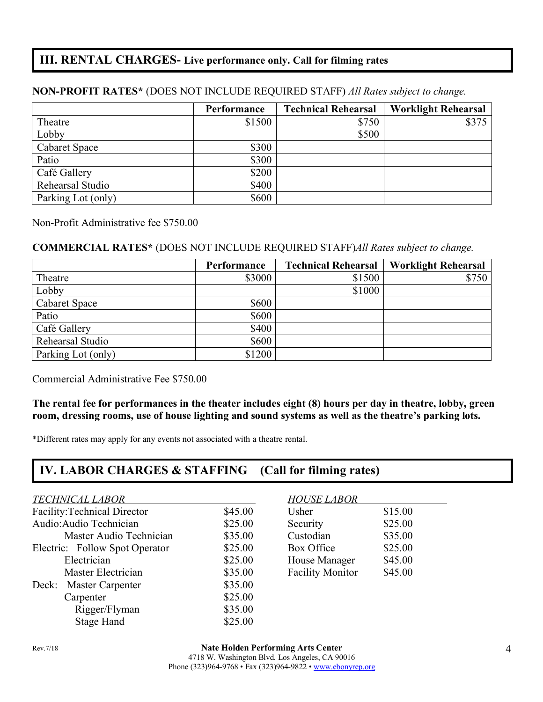### **III. RENTAL CHARGES- Live performance only. Call for filming rates**

### **Performance Technical Rehearsal Worklight Rehearsal** Theatre \$1500 \$375  $\qquad \qquad$   $\qquad$  \$500 Cabaret Space \$300 Patio  $\$300$ Café Gallery  $$200$ Rehearsal Studio  $\$400$ Parking Lot (only) \$600

#### **NON-PROFIT RATES\*** (DOES NOT INCLUDE REQUIRED STAFF) *All Rates subject to change.*

Non-Profit Administrative fee \$750.00

#### **COMMERCIAL RATES\*** (DOES NOT INCLUDE REQUIRED STAFF)*All Rates subject to change.*

|                      | Performance | <b>Technical Rehearsal</b> | <b>Worklight Rehearsal</b> |
|----------------------|-------------|----------------------------|----------------------------|
| Theatre              | \$3000      | \$1500                     | \$750                      |
| Lobby                |             | \$1000                     |                            |
| <b>Cabaret Space</b> | \$600       |                            |                            |
| Patio                | \$600       |                            |                            |
| Café Gallery         | \$400       |                            |                            |
| Rehearsal Studio     | \$600       |                            |                            |
| Parking Lot (only)   | \$1200      |                            |                            |

Commercial Administrative Fee \$750.00

#### **The rental fee for performances in the theater includes eight (8) hours per day in theatre, lobby, green room, dressing rooms, use of house lighting and sound systems as well as the theatre's parking lots.**

\*Different rates may apply for any events not associated with a theatre rental.

### **IV. LABOR CHARGES & STAFFING (Call for filming rates)**

#### *TECHNICAL LABOR HOUSE LABOR*

| Facility: Technical Director   | \$45.00 | Usher                   | \$15.00 |
|--------------------------------|---------|-------------------------|---------|
| Audio: Audio Technician        | \$25.00 | Security                | \$25.00 |
| Master Audio Technician        | \$35.00 | Custodian               | \$35.00 |
| Electric: Follow Spot Operator | \$25.00 | Box Office              | \$25.00 |
| Electrician                    | \$25.00 | House Manager           | \$45.00 |
| Master Electrician             | \$35.00 | <b>Facility Monitor</b> | \$45.00 |
| Deck: Master Carpenter         | \$35.00 |                         |         |
| Carpenter                      | \$25.00 |                         |         |
| Rigger/Flyman                  | \$35.00 |                         |         |
| <b>Stage Hand</b>              | \$25.00 |                         |         |

| Usher                   | \$15.00 |
|-------------------------|---------|
| Security                | \$25.00 |
| Custodian               | \$35.00 |
| Box Office              | \$25.00 |
| House Manager           | \$45.00 |
| <b>Facility Monitor</b> | \$45.00 |
|                         |         |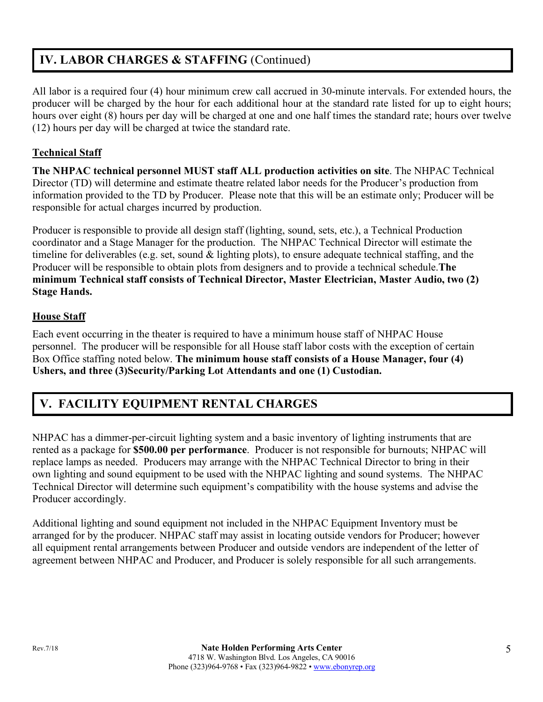# **IV. LABOR CHARGES & STAFFING** (Continued)

All labor is a required four (4) hour minimum crew call accrued in 30-minute intervals. For extended hours, the producer will be charged by the hour for each additional hour at the standard rate listed for up to eight hours; hours over eight (8) hours per day will be charged at one and one half times the standard rate; hours over twelve (12) hours per day will be charged at twice the standard rate.

#### **Technical Staff**

**The NHPAC technical personnel MUST staff ALL production activities on site**. The NHPAC Technical Director (TD) will determine and estimate theatre related labor needs for the Producer's production from information provided to the TD by Producer. Please note that this will be an estimate only; Producer will be responsible for actual charges incurred by production.

Producer is responsible to provide all design staff (lighting, sound, sets, etc.), a Technical Production coordinator and a Stage Manager for the production. The NHPAC Technical Director will estimate the timeline for deliverables (e.g. set, sound & lighting plots), to ensure adequate technical staffing, and the Producer will be responsible to obtain plots from designers and to provide a technical schedule.**The minimum Technical staff consists of Technical Director, Master Electrician, Master Audio, two (2) Stage Hands.**

#### **House Staff**

Each event occurring in the theater is required to have a minimum house staff of NHPAC House personnel. The producer will be responsible for all House staff labor costs with the exception of certain Box Office staffing noted below. **The minimum house staff consists of a House Manager, four (4) Ushers, and three (3)Security/Parking Lot Attendants and one (1) Custodian.**

# **V. FACILITY EQUIPMENT RENTAL CHARGES**

NHPAC has a dimmer-per-circuit lighting system and a basic inventory of lighting instruments that are rented as a package for **\$500.00 per performance**. Producer is not responsible for burnouts; NHPAC will replace lamps as needed. Producers may arrange with the NHPAC Technical Director to bring in their own lighting and sound equipment to be used with the NHPAC lighting and sound systems. The NHPAC Technical Director will determine such equipment's compatibility with the house systems and advise the Producer accordingly.

Additional lighting and sound equipment not included in the NHPAC Equipment Inventory must be arranged for by the producer. NHPAC staff may assist in locating outside vendors for Producer; however all equipment rental arrangements between Producer and outside vendors are independent of the letter of agreement between NHPAC and Producer, and Producer is solely responsible for all such arrangements.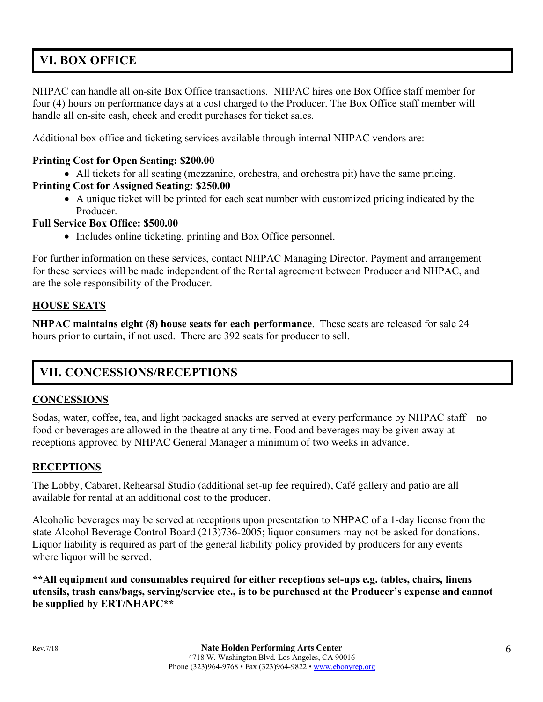# **VI. BOX OFFICE**

NHPAC can handle all on-site Box Office transactions. NHPAC hires one Box Office staff member for four (4) hours on performance days at a cost charged to the Producer. The Box Office staff member will handle all on-site cash, check and credit purchases for ticket sales.

Additional box office and ticketing services available through internal NHPAC vendors are:

#### **Printing Cost for Open Seating: \$200.00**

• All tickets for all seating (mezzanine, orchestra, and orchestra pit) have the same pricing.

### **Printing Cost for Assigned Seating: \$250.00**

• A unique ticket will be printed for each seat number with customized pricing indicated by the Producer.

#### **Full Service Box Office: \$500.00**

• Includes online ticketing, printing and Box Office personnel.

For further information on these services, contact NHPAC Managing Director. Payment and arrangement for these services will be made independent of the Rental agreement between Producer and NHPAC, and are the sole responsibility of the Producer.

#### **HOUSE SEATS**

**NHPAC maintains eight (8) house seats for each performance**. These seats are released for sale 24 hours prior to curtain, if not used. There are 392 seats for producer to sell.

# **VII. CONCESSIONS/RECEPTIONS**

#### **CONCESSIONS**

Sodas, water, coffee, tea, and light packaged snacks are served at every performance by NHPAC staff – no food or beverages are allowed in the theatre at any time. Food and beverages may be given away at receptions approved by NHPAC General Manager a minimum of two weeks in advance.

#### **RECEPTIONS**

The Lobby, Cabaret, Rehearsal Studio (additional set-up fee required), Café gallery and patio are all available for rental at an additional cost to the producer.

Alcoholic beverages may be served at receptions upon presentation to NHPAC of a 1-day license from the state Alcohol Beverage Control Board (213)736-2005; liquor consumers may not be asked for donations. Liquor liability is required as part of the general liability policy provided by producers for any events where liquor will be served.

**\*\*All equipment and consumables required for either receptions set-ups e.g. tables, chairs, linens utensils, trash cans/bags, serving/service etc., is to be purchased at the Producer's expense and cannot be supplied by ERT/NHAPC\*\***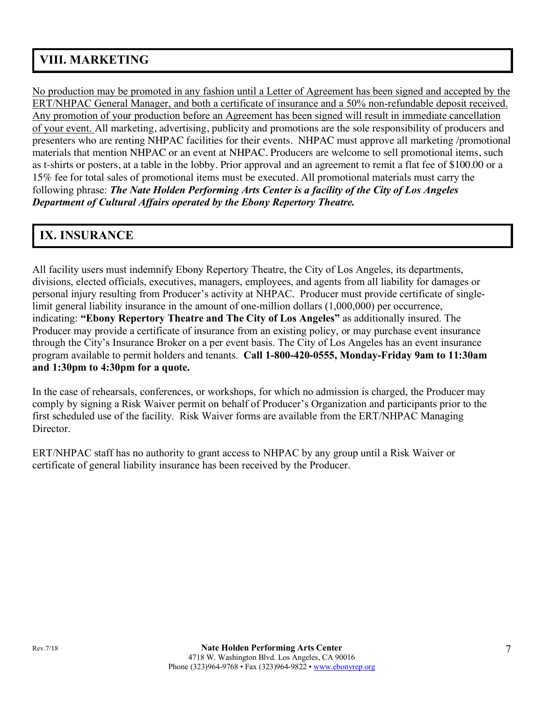# **VIII. MARKETING**

No production may be promoted in any fashion until a Letter of Agreement has been signed and accepted by the ERT/NHPAC General Manager, and both a certificate of insurance and a 50% non-refundable deposit received. Any promotion of your production before an Agreement has been signed will result in immediate cancellation of your event. All marketing, advertising, publicity and promotions are the sole responsibility of producers and presenters who are renting NHPAC facilities for their events. NHPAC must approve all marketing /promotional materials that mention NHPAC or an event at NHPAC. Producers are welcome to sell promotional items, such as t-shirts or posters, at a table in the lobby. Prior approval and an agreement to remit a flat fee of \$100.00 or a 15% fee for total sales of promotional items must be executed. All promotional materials must carry the following phrase: *The Nate Holden Performing Arts Center is a facility of the City of Los Angeles Department of Cultural Affairs operated by the Ebony Repertory Theatre.*

# **IX. INSURANCE**

All facility users must indemnify Ebony Repertory Theatre, the City of Los Angeles, its departments, divisions, elected officials, executives, managers, employees, and agents from all liability for damages or personal injury resulting from Producer's activity at NHPAC. Producer must provide certificate of singlelimit general liability insurance in the amount of one-million dollars (1,000,000) per occurrence, indicating: **"Ebony Repertory Theatre and The City of Los Angeles"** as additionally insured. The Producer may provide a certificate of insurance from an existing policy, or may purchase event insurance through the City's Insurance Broker on a per event basis. The City of Los Angeles has an event insurance program available to permit holders and tenants. **Call 1-800-420-0555, Monday-Friday 9am to 11:30am and 1:30pm to 4:30pm for a quote.**

In the case of rehearsals, conferences, or workshops, for which no admission is charged, the Producer may comply by signing a Risk Waiver permit on behalf of Producer's Organization and participants prior to the first scheduled use of the facility. Risk Waiver forms are available from the ERT/NHPAC Managing **Director** 

ERT/NHPAC staff has no authority to grant access to NHPAC by any group until a Risk Waiver or certificate of general liability insurance has been received by the Producer.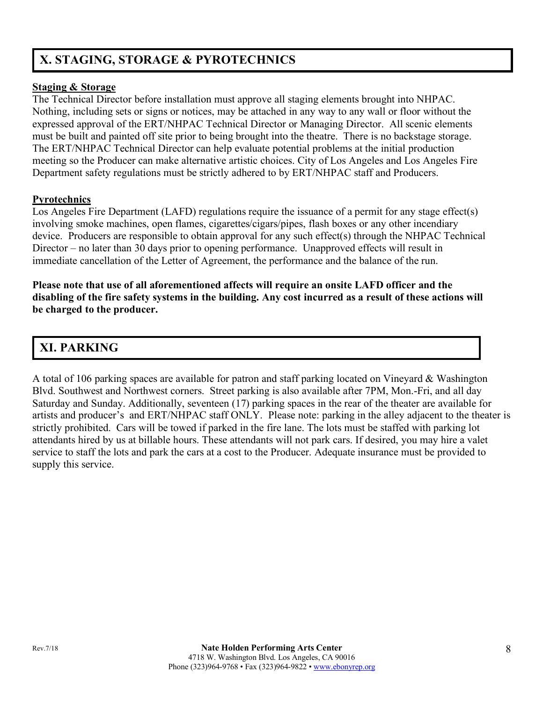# **X. STAGING, STORAGE & PYROTECHNICS**

#### **Staging & Storage**

The Technical Director before installation must approve all staging elements brought into NHPAC. Nothing, including sets or signs or notices, may be attached in any way to any wall or floor without the expressed approval of the ERT/NHPAC Technical Director or Managing Director. All scenic elements must be built and painted off site prior to being brought into the theatre. There is no backstage storage. The ERT/NHPAC Technical Director can help evaluate potential problems at the initial production meeting so the Producer can make alternative artistic choices. City of Los Angeles and Los Angeles Fire Department safety regulations must be strictly adhered to by ERT/NHPAC staff and Producers.

#### **Pyrotechnics**

Los Angeles Fire Department (LAFD) regulations require the issuance of a permit for any stage effect(s) involving smoke machines, open flames, cigarettes/cigars/pipes, flash boxes or any other incendiary device. Producers are responsible to obtain approval for any such effect(s) through the NHPAC Technical Director – no later than 30 days prior to opening performance. Unapproved effects will result in immediate cancellation of the Letter of Agreement, the performance and the balance of the run.

**Please note that use of all aforementioned affects will require an onsite LAFD officer and the disabling of the fire safety systems in the building. Any cost incurred as a result of these actions will be charged to the producer.**

# **XI. PARKING**

A total of 106 parking spaces are available for patron and staff parking located on Vineyard & Washington Blvd. Southwest and Northwest corners. Street parking is also available after 7PM, Mon.-Fri, and all day Saturday and Sunday. Additionally, seventeen (17) parking spaces in the rear of the theater are available for artists and producer's and ERT/NHPAC staff ONLY. Please note: parking in the alley adjacent to the theater is strictly prohibited. Cars will be towed if parked in the fire lane. The lots must be staffed with parking lot attendants hired by us at billable hours. These attendants will not park cars. If desired, you may hire a valet service to staff the lots and park the cars at a cost to the Producer. Adequate insurance must be provided to supply this service.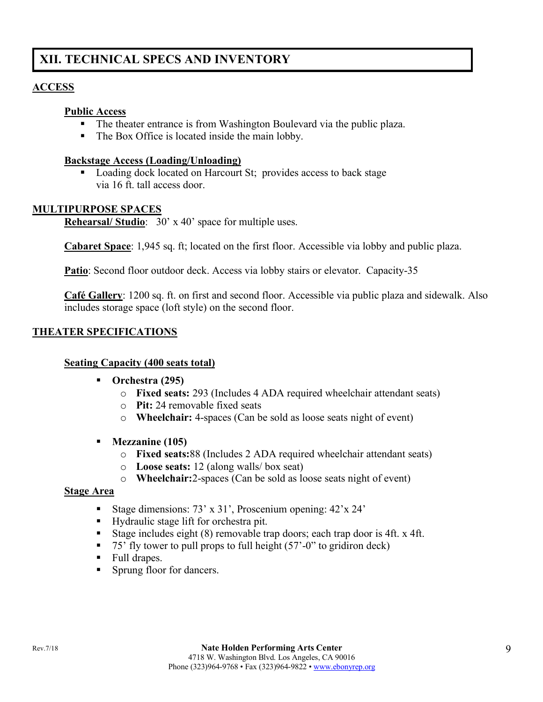# **XII. TECHNICAL SPECS AND INVENTORY**

#### **ACCESS**

#### **Public Access**

- The theater entrance is from Washington Boulevard via the public plaza.
- The Box Office is located inside the main lobby.

#### **Backstage Access (Loading/Unloading)**

■ Loading dock located on Harcourt St; provides access to back stage via 16 ft. tall access door.

#### **MULTIPURPOSE SPACES**

**Rehearsal/ Studio**: 30' x 40' space for multiple uses.

**Cabaret Space**: 1,945 sq. ft; located on the first floor. Accessible via lobby and public plaza.

Patio: Second floor outdoor deck. Access via lobby stairs or elevator. Capacity-35

**Café Gallery**: 1200 sq. ft. on first and second floor. Accessible via public plaza and sidewalk. Also includes storage space (loft style) on the second floor.

#### **THEATER SPECIFICATIONS**

#### **Seating Capacity (400 seats total)**

- § **Orchestra (295)**
	- o **Fixed seats:** 293 (Includes 4 ADA required wheelchair attendant seats)
	- o **Pit:** 24 removable fixed seats
	- o **Wheelchair:** 4-spaces (Can be sold as loose seats night of event)
- § **Mezzanine (105)**
	- o **Fixed seats:**88 (Includes 2 ADA required wheelchair attendant seats)
	- o **Loose seats:** 12 (along walls/ box seat)
	- o **Wheelchair:**2-spaces (Can be sold as loose seats night of event)

#### **Stage Area**

- Stage dimensions: 73' x 31', Proscenium opening: 42'x 24'
- Hydraulic stage lift for orchestra pit.
- Stage includes eight (8) removable trap doors; each trap door is 4ft. x 4ft.
- 75' fly tower to pull props to full height (57'-0" to gridiron deck)
- Full drapes.
- Sprung floor for dancers.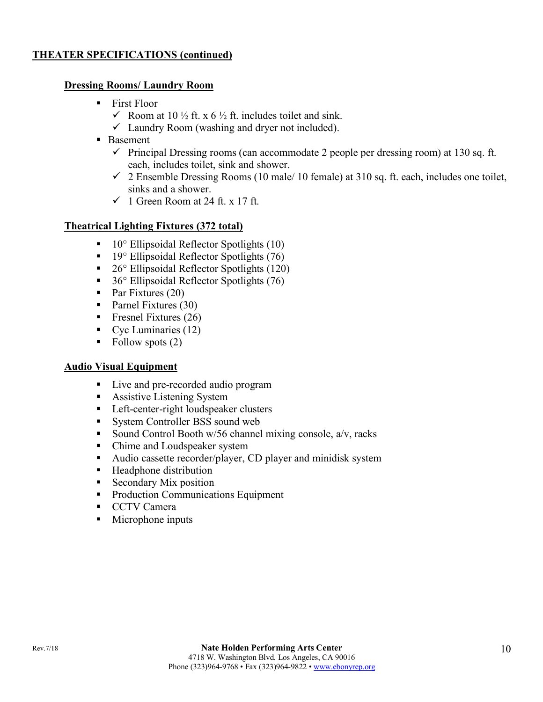#### **THEATER SPECIFICATIONS (continued)**

#### **Dressing Rooms/ Laundry Room**

- First Floor
	- $\checkmark$  Room at 10 ½ ft. x 6 ½ ft. includes toilet and sink.
	- $\checkmark$  Laundry Room (washing and dryer not included).
- Basement
	- $\checkmark$  Principal Dressing rooms (can accommodate 2 people per dressing room) at 130 sq. ft. each, includes toilet, sink and shower.
	- $\checkmark$  2 Ensemble Dressing Rooms (10 male/ 10 female) at 310 sq. ft. each, includes one toilet, sinks and a shower.
	- $\checkmark$  1 Green Room at 24 ft. x 17 ft.

#### **Theatrical Lighting Fixtures (372 total)**

- 10° Ellipsoidal Reflector Spotlights (10)
- 19° Ellipsoidal Reflector Spotlights (76)
- 26° Ellipsoidal Reflector Spotlights (120)
- 36° Ellipsoidal Reflector Spotlights (76)
- Par Fixtures (20)
- Parnel Fixtures (30)
- Fresnel Fixtures  $(26)$
- Cyc Luminaries  $(12)$
- Follow spots  $(2)$

#### **Audio Visual Equipment**

- Live and pre-recorded audio program
- Assistive Listening System
- Left-center-right loudspeaker clusters
- System Controller BSS sound web
- Sound Control Booth  $w/56$  channel mixing console,  $a/v$ , racks
- Chime and Loudspeaker system
- Audio cassette recorder/player, CD player and minidisk system
- Headphone distribution
- Secondary Mix position
- Production Communications Equipment
- CCTV Camera
- Microphone inputs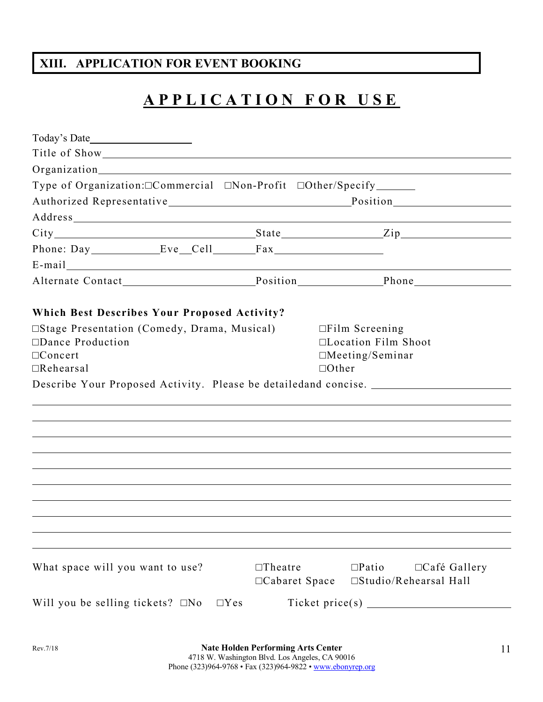# **XIII. APPLICATION FOR EVENT BOOKING**

# **APPLICATION FOR USE**

| E-mail explorer and the set of the set of the set of the set of the set of the set of the set of the set of the set of the set of the set of the set of the set of the set of the set of the set of the set of the set of the |                                  |                                                                                               |                     |
|-------------------------------------------------------------------------------------------------------------------------------------------------------------------------------------------------------------------------------|----------------------------------|-----------------------------------------------------------------------------------------------|---------------------|
|                                                                                                                                                                                                                               |                                  |                                                                                               |                     |
| <b>Which Best Describes Your Proposed Activity?</b>                                                                                                                                                                           |                                  |                                                                                               |                     |
| □Stage Presentation (Comedy, Drama, Musical)<br>$\square$ Dance Production<br>$\Box$ Concert<br>$\Box$ Rehearsal                                                                                                              |                                  | $\Box$ Film Screening<br>$\Box$ Location Film Shoot<br>$\Box$ Meeting/Seminar<br>$\Box$ Other |                     |
| Describe Your Proposed Activity. Please be detailedand concise.                                                                                                                                                               |                                  |                                                                                               |                     |
|                                                                                                                                                                                                                               |                                  |                                                                                               |                     |
|                                                                                                                                                                                                                               |                                  |                                                                                               |                     |
|                                                                                                                                                                                                                               |                                  |                                                                                               |                     |
|                                                                                                                                                                                                                               |                                  |                                                                                               |                     |
|                                                                                                                                                                                                                               |                                  |                                                                                               |                     |
|                                                                                                                                                                                                                               |                                  |                                                                                               |                     |
|                                                                                                                                                                                                                               |                                  |                                                                                               |                     |
|                                                                                                                                                                                                                               |                                  |                                                                                               |                     |
|                                                                                                                                                                                                                               |                                  |                                                                                               |                     |
|                                                                                                                                                                                                                               |                                  |                                                                                               |                     |
| What space will you want to use?                                                                                                                                                                                              | $\Box$ Theatre<br>□Cabaret Space | $\square$ Patio<br>$\square$ Studio/Rehearsal Hall                                            | $\Box$ Café Gallery |
| Will you be selling tickets? $\square$ No<br>$\Box$ Yes                                                                                                                                                                       |                                  |                                                                                               |                     |
|                                                                                                                                                                                                                               |                                  |                                                                                               |                     |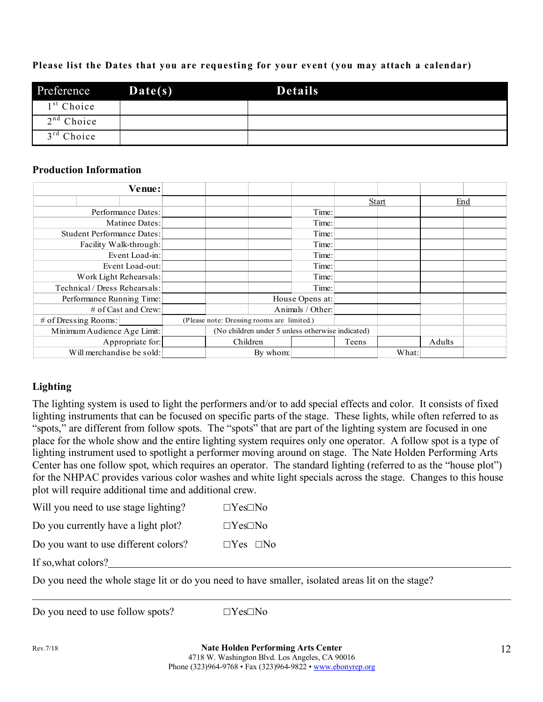#### **Please list the Dates that you are requesting for your event (you may attach a calendar)**

| Preference             | Date(s) | <b>Details</b> |  |
|------------------------|---------|----------------|--|
| 1 <sup>st</sup> Choice |         |                |  |
| $2nd$ Choice           |         |                |  |
| $3rd$ Choice           |         |                |  |

#### **Production Information**

|                             |                                   | Venue:                                     |                                                  |  |                  |       |              |     |  |
|-----------------------------|-----------------------------------|--------------------------------------------|--------------------------------------------------|--|------------------|-------|--------------|-----|--|
|                             |                                   |                                            |                                                  |  |                  |       | <b>Start</b> | End |  |
|                             |                                   | Performance Dates:                         |                                                  |  | Time:            |       |              |     |  |
|                             |                                   | Matinee Dates:                             |                                                  |  | Time:            |       |              |     |  |
|                             | <b>Student Performance Dates:</b> |                                            |                                                  |  | Time:            |       |              |     |  |
|                             |                                   | Facility Walk-through:                     |                                                  |  | Time:            |       |              |     |  |
|                             |                                   | Event Load-in:                             |                                                  |  | Time:            |       |              |     |  |
|                             |                                   | Event Load-out:                            |                                                  |  | Time:            |       |              |     |  |
|                             | Work Light Rehearsals:            |                                            |                                                  |  | Time:            |       |              |     |  |
|                             | Technical / Dress Rehearsals:     |                                            |                                                  |  | Time:            |       |              |     |  |
|                             | Performance Running Time:         |                                            |                                                  |  | House Opens at:  |       |              |     |  |
| $\#$ of Cast and Crew:      |                                   |                                            |                                                  |  | Animals / Other: |       |              |     |  |
| $#$ of Dressing Rooms:      |                                   | (Please note: Dressing rooms are limited.) |                                                  |  |                  |       |              |     |  |
| Minimum Audience Age Limit: |                                   |                                            | (No children under 5 unless otherwise indicated) |  |                  |       |              |     |  |
| Appropriate for:            |                                   |                                            | Children                                         |  | Teens            |       | Adults       |     |  |
| Will merchandise be sold:   |                                   |                                            | By whom:                                         |  |                  | What: |              |     |  |

### **Lighting**

The lighting system is used to light the performers and/or to add special effects and color. It consists of fixed lighting instruments that can be focused on specific parts of the stage. These lights, while often referred to as "spots," are different from follow spots. The "spots" that are part of the lighting system are focused in one place for the whole show and the entire lighting system requires only one operator. A follow spot is a type of lighting instrument used to spotlight a performer moving around on stage. The Nate Holden Performing Arts Center has one follow spot, which requires an operator. The standard lighting (referred to as the "house plot") for the NHPAC provides various color washes and white light specials across the stage. Changes to this house plot will require additional time and additional crew.

| Will you need to use stage lighting? | $\Box$ Yes $\Box$ No |  |
|--------------------------------------|----------------------|--|
| Do you currently have a light plot?  | $\Box$ Yes $\Box$ No |  |
| Do you want to use different colors? | $\Box$ Yes $\Box$ No |  |

If so,what colors?

Do you need the whole stage lit or do you need to have smaller, isolated areas lit on the stage?

Do you need to use follow spots?  $\square$   $\blacksquare$   $\blacksquare$   $\blacksquare$   $\blacksquare$   $\blacksquare$   $\blacksquare$   $\blacksquare$ 

 $\mathcal{L}_\mathcal{L} = \mathcal{L}_\mathcal{L} = \mathcal{L}_\mathcal{L} = \mathcal{L}_\mathcal{L} = \mathcal{L}_\mathcal{L} = \mathcal{L}_\mathcal{L} = \mathcal{L}_\mathcal{L} = \mathcal{L}_\mathcal{L} = \mathcal{L}_\mathcal{L} = \mathcal{L}_\mathcal{L} = \mathcal{L}_\mathcal{L} = \mathcal{L}_\mathcal{L} = \mathcal{L}_\mathcal{L} = \mathcal{L}_\mathcal{L} = \mathcal{L}_\mathcal{L} = \mathcal{L}_\mathcal{L} = \mathcal{L}_\mathcal{L}$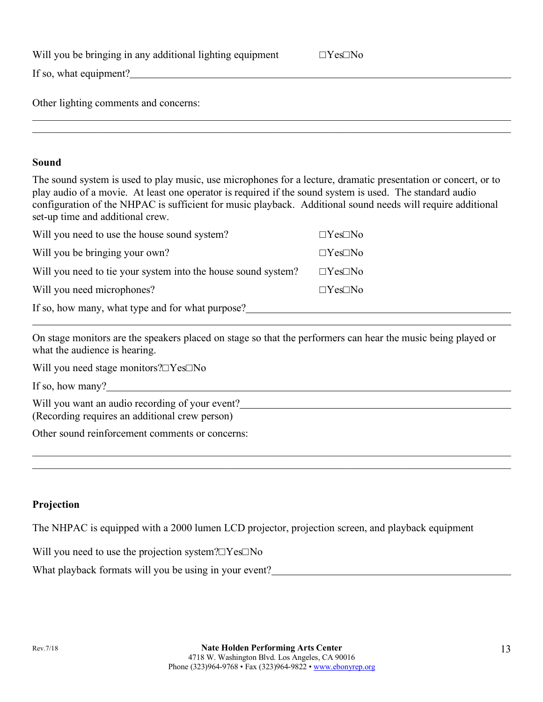|  |  |  | Will you be bringing in any additional lighting equipment | $\Box$ Yes $\Box$ No |
|--|--|--|-----------------------------------------------------------|----------------------|
|--|--|--|-----------------------------------------------------------|----------------------|

|--|

If so, what equipment?

Other lighting comments and concerns:

#### **Sound**

The sound system is used to play music, use microphones for a lecture, dramatic presentation or concert, or to play audio of a movie. At least one operator is required if the sound system is used. The standard audio configuration of the NHPAC is sufficient for music playback. Additional sound needs will require additional set-up time and additional crew.

 $\mathcal{L}_\mathcal{L} = \mathcal{L}_\mathcal{L} = \mathcal{L}_\mathcal{L} = \mathcal{L}_\mathcal{L} = \mathcal{L}_\mathcal{L} = \mathcal{L}_\mathcal{L} = \mathcal{L}_\mathcal{L} = \mathcal{L}_\mathcal{L} = \mathcal{L}_\mathcal{L} = \mathcal{L}_\mathcal{L} = \mathcal{L}_\mathcal{L} = \mathcal{L}_\mathcal{L} = \mathcal{L}_\mathcal{L} = \mathcal{L}_\mathcal{L} = \mathcal{L}_\mathcal{L} = \mathcal{L}_\mathcal{L} = \mathcal{L}_\mathcal{L}$  $\mathcal{L}_\mathcal{L} = \mathcal{L}_\mathcal{L} = \mathcal{L}_\mathcal{L} = \mathcal{L}_\mathcal{L} = \mathcal{L}_\mathcal{L} = \mathcal{L}_\mathcal{L} = \mathcal{L}_\mathcal{L} = \mathcal{L}_\mathcal{L} = \mathcal{L}_\mathcal{L} = \mathcal{L}_\mathcal{L} = \mathcal{L}_\mathcal{L} = \mathcal{L}_\mathcal{L} = \mathcal{L}_\mathcal{L} = \mathcal{L}_\mathcal{L} = \mathcal{L}_\mathcal{L} = \mathcal{L}_\mathcal{L} = \mathcal{L}_\mathcal{L}$ 

| Will you need to use the house sound system?                  | $\Box$ Yes $\Box$ No |  |  |  |
|---------------------------------------------------------------|----------------------|--|--|--|
| Will you be bringing your own?                                | $\Box$ Yes $\Box$ No |  |  |  |
| Will you need to tie your system into the house sound system? | $\Box$ Yes $\Box$ No |  |  |  |
| Will you need microphones?                                    | $\Box$ Yes $\Box$ No |  |  |  |
| If so, how many, what type and for what purpose?              |                      |  |  |  |

On stage monitors are the speakers placed on stage so that the performers can hear the music being played or what the audience is hearing.

 $\mathcal{L}_\mathcal{L} = \mathcal{L}_\mathcal{L} = \mathcal{L}_\mathcal{L} = \mathcal{L}_\mathcal{L} = \mathcal{L}_\mathcal{L} = \mathcal{L}_\mathcal{L} = \mathcal{L}_\mathcal{L} = \mathcal{L}_\mathcal{L} = \mathcal{L}_\mathcal{L} = \mathcal{L}_\mathcal{L} = \mathcal{L}_\mathcal{L} = \mathcal{L}_\mathcal{L} = \mathcal{L}_\mathcal{L} = \mathcal{L}_\mathcal{L} = \mathcal{L}_\mathcal{L} = \mathcal{L}_\mathcal{L} = \mathcal{L}_\mathcal{L}$  $\mathcal{L}_\mathcal{L} = \mathcal{L}_\mathcal{L} = \mathcal{L}_\mathcal{L} = \mathcal{L}_\mathcal{L} = \mathcal{L}_\mathcal{L} = \mathcal{L}_\mathcal{L} = \mathcal{L}_\mathcal{L} = \mathcal{L}_\mathcal{L} = \mathcal{L}_\mathcal{L} = \mathcal{L}_\mathcal{L} = \mathcal{L}_\mathcal{L} = \mathcal{L}_\mathcal{L} = \mathcal{L}_\mathcal{L} = \mathcal{L}_\mathcal{L} = \mathcal{L}_\mathcal{L} = \mathcal{L}_\mathcal{L} = \mathcal{L}_\mathcal{L}$ 

Will you need stage monitors?□Yes□No

If so, how many?

Will you want an audio recording of your event?

(Recording requires an additional crew person)

Other sound reinforcement comments or concerns:

#### **Projection**

The NHPAC is equipped with a 2000 lumen LCD projector, projection screen, and playback equipment

Will you need to use the projection system?□Yes□No

What playback formats will you be using in your event?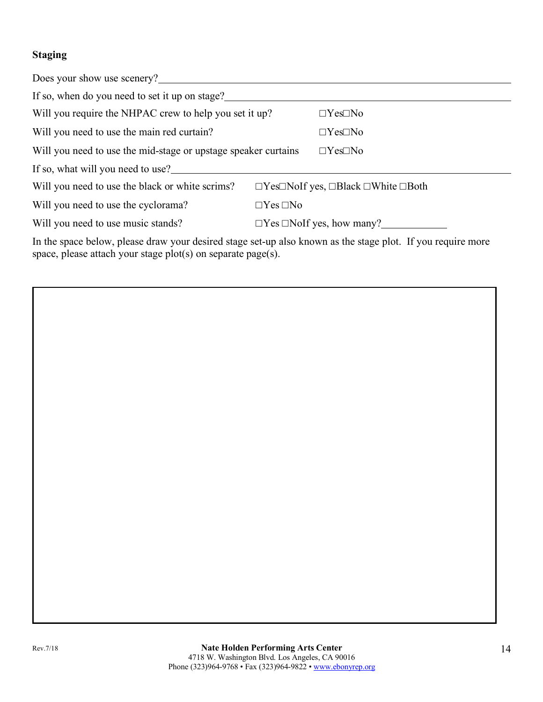### **Staging**

| Does your show use scenery?                                                                               |                      |                                                                   |  |  |  |
|-----------------------------------------------------------------------------------------------------------|----------------------|-------------------------------------------------------------------|--|--|--|
| If so, when do you need to set it up on stage?                                                            |                      |                                                                   |  |  |  |
| Will you require the NHPAC crew to help you set it up?                                                    |                      | $\Box$ Yes $\Box$ No                                              |  |  |  |
| Will you need to use the main red curtain?                                                                |                      | $\Box$ Yes $\Box$ No                                              |  |  |  |
| Will you need to use the mid-stage or upstage speaker curtains                                            | $\Box$ Yes $\Box$ No |                                                                   |  |  |  |
| If so, what will you need to use?                                                                         |                      |                                                                   |  |  |  |
| Will you need to use the black or white scrims?                                                           |                      | $\Box$ Yes $\Box$ NoIf yes, $\Box$ Black $\Box$ White $\Box$ Both |  |  |  |
| Will you need to use the cyclorama?                                                                       | $\Box$ Yes $\Box$ No |                                                                   |  |  |  |
| Will you need to use music stands?                                                                        |                      | $\Box$ Yes $\Box$ NoIf yes, how many?                             |  |  |  |
| In the space below please draw your desired stage set up also known as the stage plot If you require more |                      |                                                                   |  |  |  |

In the space below, please draw your desired stage set-up also known as the stage plot. If you require more space, please attach your stage plot(s) on separate page(s).

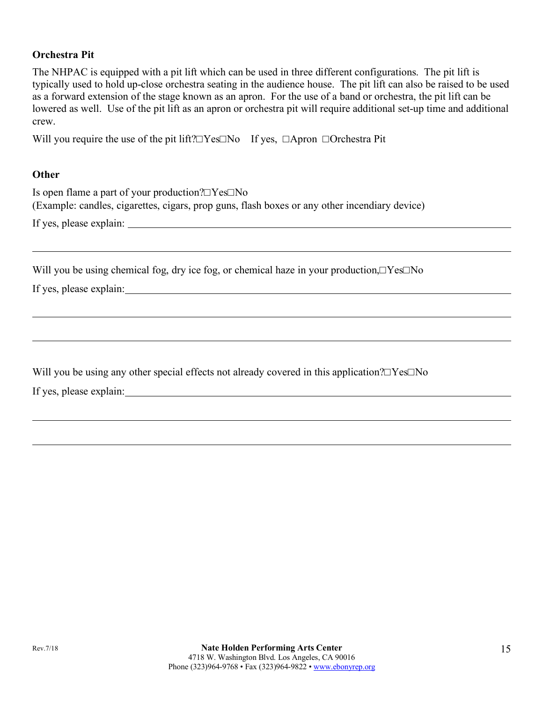#### **Orchestra Pit**

The NHPAC is equipped with a pit lift which can be used in three different configurations. The pit lift is typically used to hold up-close orchestra seating in the audience house. The pit lift can also be raised to be used as a forward extension of the stage known as an apron. For the use of a band or orchestra, the pit lift can be lowered as well. Use of the pit lift as an apron or orchestra pit will require additional set-up time and additional crew.

Will you require the use of the pit lift?□Yes□No If yes, □Apron □Orchestra Pit

#### **Other**

| Is open flame a part of your production? $\square$ Yes $\square$ No                           |
|-----------------------------------------------------------------------------------------------|
| (Example: candles, cigarettes, cigars, prop guns, flash boxes or any other incendiary device) |
| If yes, please explain:                                                                       |

Will you be using chemical fog, dry ice fog, or chemical haze in your production,□Yes□No

If yes, please explain:

Will you be using any other special effects not already covered in this application?□Yes□No

If yes, please explain: